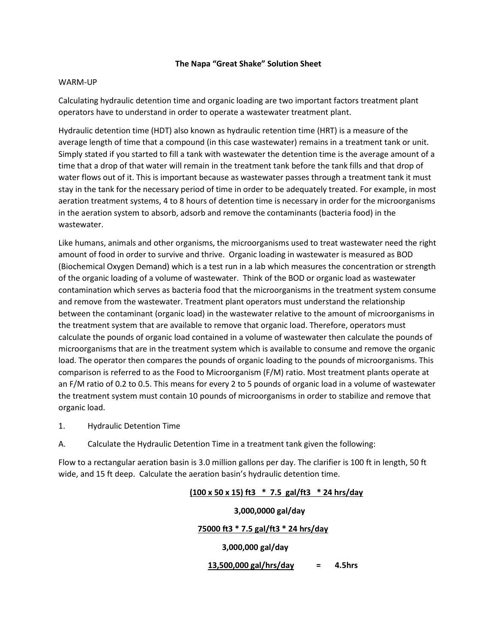#### **The Napa "Great Shake" Solution Sheet**

#### WARM-UP

Calculating hydraulic detention time and organic loading are two important factors treatment plant operators have to understand in order to operate a wastewater treatment plant.

Hydraulic detention time (HDT) also known as hydraulic retention time (HRT) is a measure of the average length of time that a compound (in this case wastewater) remains in a treatment tank or unit. Simply stated if you started to fill a tank with wastewater the detention time is the average amount of a time that a drop of that water will remain in the treatment tank before the tank fills and that drop of water flows out of it. This is important because as wastewater passes through a treatment tank it must stay in the tank for the necessary period of time in order to be adequately treated. For example, in most aeration treatment systems, 4 to 8 hours of detention time is necessary in order for the microorganisms in the aeration system to absorb, adsorb and remove the contaminants (bacteria food) in the wastewater.

Like humans, animals and other organisms, the microorganisms used to treat wastewater need the right amount of food in order to survive and thrive. Organic loading in wastewater is measured as BOD (Biochemical Oxygen Demand) which is a test run in a lab which measures the concentration or strength of the organic loading of a volume of wastewater. Think of the BOD or organic load as wastewater contamination which serves as bacteria food that the microorganisms in the treatment system consume and remove from the wastewater. Treatment plant operators must understand the relationship between the contaminant (organic load) in the wastewater relative to the amount of microorganisms in the treatment system that are available to remove that organic load. Therefore, operators must calculate the pounds of organic load contained in a volume of wastewater then calculate the pounds of microorganisms that are in the treatment system which is available to consume and remove the organic load. The operator then compares the pounds of organic loading to the pounds of microorganisms. This comparison is referred to as the Food to Microorganism (F/M) ratio. Most treatment plants operate at an F/M ratio of 0.2 to 0.5. This means for every 2 to 5 pounds of organic load in a volume of wastewater the treatment system must contain 10 pounds of microorganisms in order to stabilize and remove that organic load.

- 1. Hydraulic Detention Time
- A. Calculate the Hydraulic Detention Time in a treatment tank given the following:

Flow to a rectangular aeration basin is 3.0 million gallons per day. The clarifier is 100 ft in length, 50 ft wide, and 15 ft deep. Calculate the aeration basin's hydraulic detention time.

## **(100 x 50 x 15) ft3 \* 7.5 gal/ft3 \* 24 hrs/day**

#### **3,000,0000 gal/day**

### **75000 ft3 \* 7.5 gal/ft3 \* 24 hrs/day**

### **3,000,000 gal/day**

 **13,500,000 gal/hrs/day = 4.5hrs**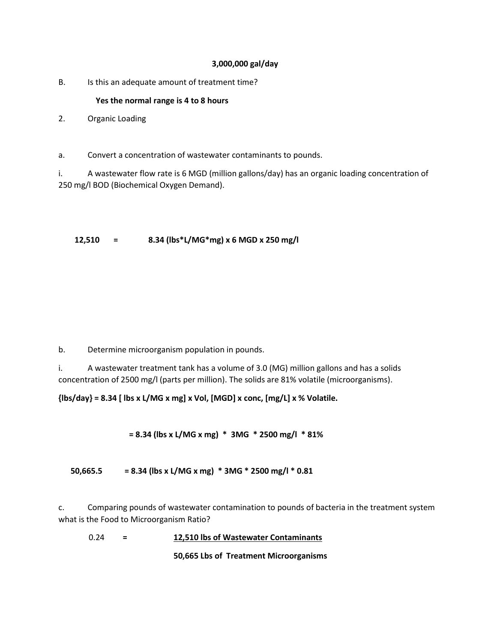## **3,000,000 gal/day**

B. Is this an adequate amount of treatment time?

## **Yes the normal range is 4 to 8 hours**

2. Organic Loading

a. Convert a concentration of wastewater contaminants to pounds.

i. A wastewater flow rate is 6 MGD (million gallons/day) has an organic loading concentration of 250 mg/l BOD (Biochemical Oxygen Demand).

## **12,510 = 8.34 (lbs\*L/MG\*mg) x 6 MGD x 250 mg/l**

b. Determine microorganism population in pounds.

i. A wastewater treatment tank has a volume of 3.0 (MG) million gallons and has a solids concentration of 2500 mg/l (parts per million). The solids are 81% volatile (microorganisms).

**{lbs/day} = 8.34 [ lbs x L/MG x mg] x Vol, [MGD] x conc, [mg/L] x % Volatile.**

 **= 8.34 (lbs x L/MG x mg) \* 3MG \* 2500 mg/l \* 81%**

 **50,665.5 = 8.34 (lbs x L/MG x mg) \* 3MG \* 2500 mg/l \* 0.81**

c. Comparing pounds of wastewater contamination to pounds of bacteria in the treatment system what is the Food to Microorganism Ratio?

0.24 **= 12,510 lbs of Wastewater Contaminants**

 **50,665 Lbs of Treatment Microorganisms**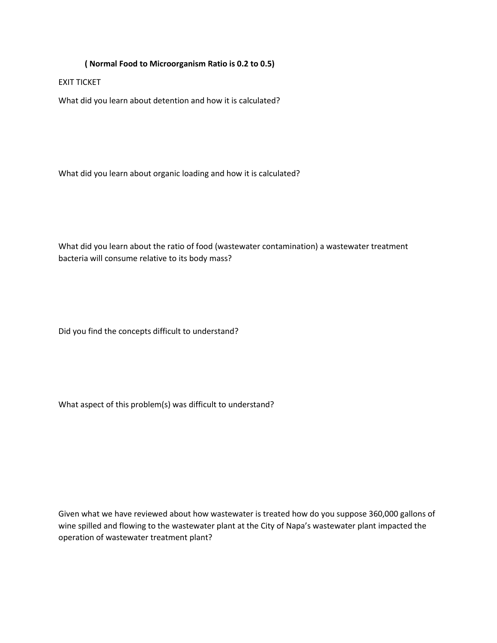### **( Normal Food to Microorganism Ratio is 0.2 to 0.5)**

EXIT TICKET

What did you learn about detention and how it is calculated?

What did you learn about organic loading and how it is calculated?

What did you learn about the ratio of food (wastewater contamination) a wastewater treatment bacteria will consume relative to its body mass?

Did you find the concepts difficult to understand?

What aspect of this problem(s) was difficult to understand?

Given what we have reviewed about how wastewater is treated how do you suppose 360,000 gallons of wine spilled and flowing to the wastewater plant at the City of Napa's wastewater plant impacted the operation of wastewater treatment plant?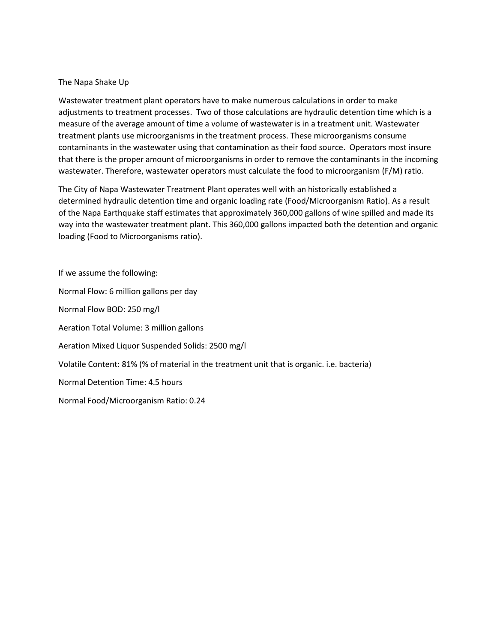#### The Napa Shake Up

Wastewater treatment plant operators have to make numerous calculations in order to make adjustments to treatment processes. Two of those calculations are hydraulic detention time which is a measure of the average amount of time a volume of wastewater is in a treatment unit. Wastewater treatment plants use microorganisms in the treatment process. These microorganisms consume contaminants in the wastewater using that contamination as their food source. Operators most insure that there is the proper amount of microorganisms in order to remove the contaminants in the incoming wastewater. Therefore, wastewater operators must calculate the food to microorganism (F/M) ratio.

The City of Napa Wastewater Treatment Plant operates well with an historically established a determined hydraulic detention time and organic loading rate (Food/Microorganism Ratio). As a result of the Napa Earthquake staff estimates that approximately 360,000 gallons of wine spilled and made its way into the wastewater treatment plant. This 360,000 gallons impacted both the detention and organic loading (Food to Microorganisms ratio).

If we assume the following: Normal Flow: 6 million gallons per day Normal Flow BOD: 250 mg/l Aeration Total Volume: 3 million gallons Aeration Mixed Liquor Suspended Solids: 2500 mg/l Volatile Content: 81% (% of material in the treatment unit that is organic. i.e. bacteria) Normal Detention Time: 4.5 hours Normal Food/Microorganism Ratio: 0.24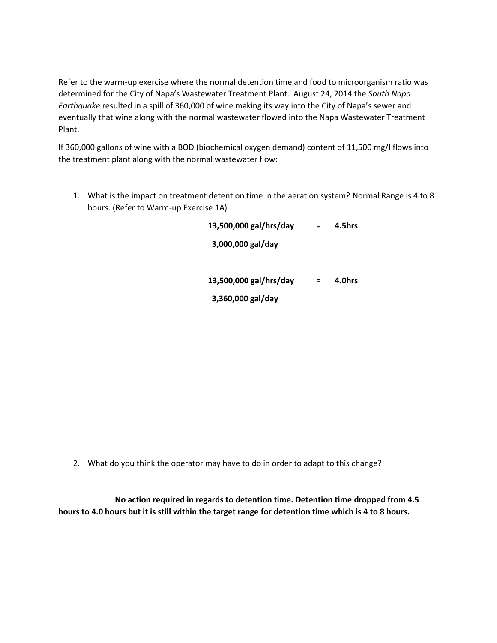Refer to the warm-up exercise where the normal detention time and food to microorganism ratio was determined for the City of Napa's Wastewater Treatment Plant. August 24, 2014 the *South Napa Earthquake* resulted in a spill of 360,000 of wine making its way into the City of Napa's sewer and eventually that wine along with the normal wastewater flowed into the Napa Wastewater Treatment Plant.

If 360,000 gallons of wine with a BOD (biochemical oxygen demand) content of 11,500 mg/l flows into the treatment plant along with the normal wastewater flow:

1. What is the impact on treatment detention time in the aeration system? Normal Range is 4 to 8 hours. (Refer to Warm-up Exercise 1A)

| 13,500,000 gal/hrs/day | $=$      | 4.5hrs |
|------------------------|----------|--------|
| 3,000,000 gal/day      |          |        |
| 13,500,000 gal/hrs/day | $\equiv$ | 4.0hrs |
|                        |          |        |

 **3,360,000 gal/day**

2. What do you think the operator may have to do in order to adapt to this change?

**No action required in regards to detention time. Detention time dropped from 4.5 hours to 4.0 hours but it is still within the target range for detention time which is 4 to 8 hours.**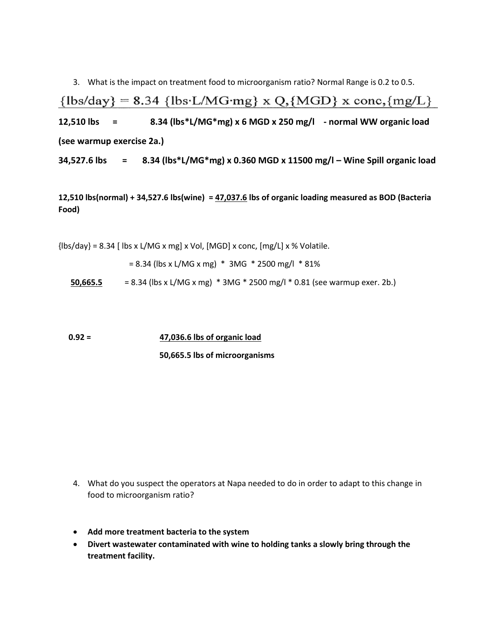3. What is the impact on treatment food to microorganism ratio? Normal Range is 0.2 to 0.5.

 ${lbs/day} = 8.34 {lbs:L/MG\cdot mg} \times Q, {MGD} \times conc, {mg/L}$ 

**12,510 lbs = 8.34 (lbs\*L/MG\*mg) x 6 MGD x 250 mg/l - normal WW organic load (see warmup exercise 2a.)**

**34,527.6 lbs = 8.34 (lbs\*L/MG\*mg) x 0.360 MGD x 11500 mg/l – Wine Spill organic load** 

**12,510 lbs(normal) + 34,527.6 lbs(wine) = 47,037.6 lbs of organic loading measured as BOD (Bacteria Food)**

 ${b_s}/{day} = 8.34$  [ lbs x L/MG x mg] x Vol, [MGD] x conc, [mg/L] x % Volatile.

= 8.34 (lbs x L/MG x mg) \* 3MG \* 2500 mg/l \* 81%

 **50,665.5** = 8.34 (lbs x L/MG x mg) \* 3MG \* 2500 mg/l \* 0.81 (see warmup exer. 2b.)

# **0.92 = 47,036.6 lbs of organic load 50,665.5 lbs of microorganisms**

- 4. What do you suspect the operators at Napa needed to do in order to adapt to this change in food to microorganism ratio?
- **Add more treatment bacteria to the system**
- **Divert wastewater contaminated with wine to holding tanks a slowly bring through the treatment facility.**